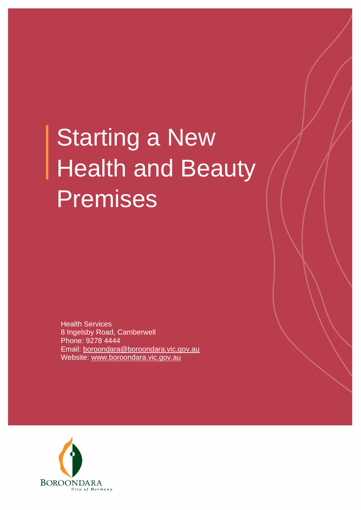# Starting a New Health and Beauty Premises

Health Services 8 Ingelsby Road, Camberwell Phone: 9278 4444 Email: boroondara@boroondara.vic.gov.au Website: [www.boroondara.vic.gov.au](http://www.boroondara.vic.gov.au/)

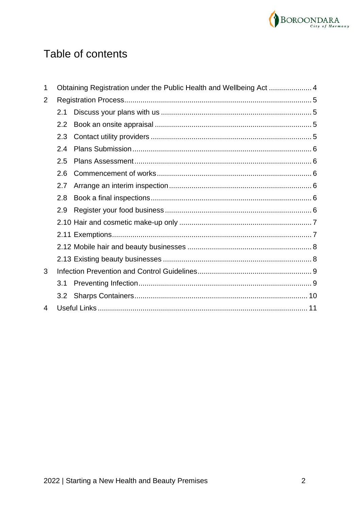

# Table of contents

| 1 |     |  |  |
|---|-----|--|--|
| 2 |     |  |  |
|   | 2.1 |  |  |
|   | 2.2 |  |  |
|   | 2.3 |  |  |
|   | 2.4 |  |  |
|   | 2.5 |  |  |
|   | 2.6 |  |  |
|   | 2.7 |  |  |
|   | 2.8 |  |  |
|   | 2.9 |  |  |
|   |     |  |  |
|   |     |  |  |
|   |     |  |  |
|   |     |  |  |
| 3 |     |  |  |
|   | 3.1 |  |  |
|   |     |  |  |
| 4 |     |  |  |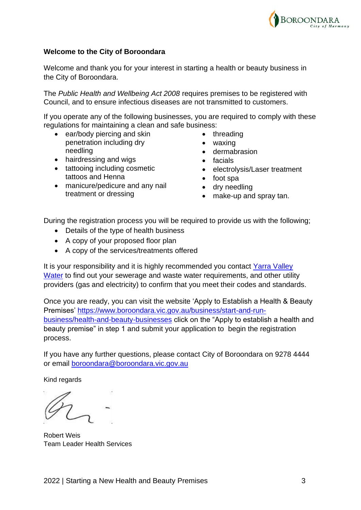

#### **Welcome to the City of Boroondara**

Welcome and thank you for your interest in starting a health or beauty business in the City of Boroondara.

The *Public Health and Wellbeing Act 2008* requires premises to be registered with Council, and to ensure infectious diseases are not transmitted to customers.

If you operate any of the following businesses, you are required to comply with these regulations for maintaining a clean and safe business:

- ear/body piercing and skin penetration including dry needling
- hairdressing and wigs
- tattooing including cosmetic tattoos and Henna
- manicure/pedicure and any nail treatment or dressing
- threading
- waxing
- dermabrasion
- facials
- electrolysis/Laser treatment
- foot spa
- dry needling
- make-up and spray tan.

During the registration process you will be required to provide us with the following;

- Details of the type of health business
- A copy of your proposed floor plan
- A copy of the services/treatments offered

It is your responsibility and it is highly recommended you contact Yarra Valley [Water](https://www.yvw.com.au/) to find out your sewerage and waste water requirements, and other utility providers (gas and electricity) to confirm that you meet their codes and standards.

Once you are ready, you can visit the website 'Apply to Establish a Health & Beauty Premises' [https://www.boroondara.vic.gov.au/business/start-and-run](https://www.boroondara.vic.gov.au/business/start-and-run-business/health-and-beauty-businesses)[business/health-and-beauty-businesses](https://www.boroondara.vic.gov.au/business/start-and-run-business/health-and-beauty-businesses) click on the "Apply to establish a health and beauty premise" in step 1 and submit your application to begin the registration process.

If you have any further questions, please contact City of Boroondara on 9278 4444 or email [boroondara@boroondara.vic.gov.au](mailto:boroondara@boroondara.vic.gov.au)

Kind regards

Robert Weis Team Leader Health Services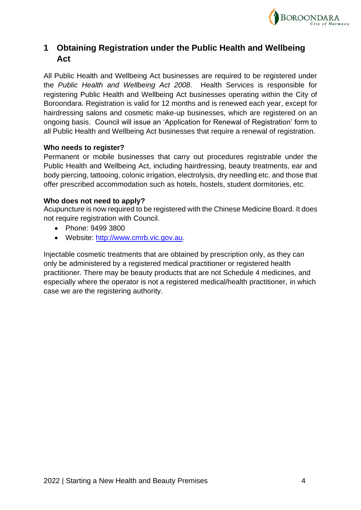

# <span id="page-3-0"></span>**1 Obtaining Registration under the Public Health and Wellbeing Act**

All Public Health and Wellbeing Act businesses are required to be registered under the *Public Health and Wellbeing Act 2008*. Health Services is responsible for registering Public Health and Wellbeing Act businesses operating within the City of Boroondara. Registration is valid for 12 months and is renewed each year, except for hairdressing salons and cosmetic make-up businesses, which are registered on an ongoing basis. Council will issue an 'Application for Renewal of Registration' form to all Public Health and Wellbeing Act businesses that require a renewal of registration.

#### **Who needs to register?**

Permanent or mobile businesses that carry out procedures registrable under the Public Health and Wellbeing Act, including hairdressing, beauty treatments, ear and body piercing, tattooing, colonic irrigation, electrolysis, dry needling etc. and those that offer prescribed accommodation such as hotels, hostels, student dormitories, etc.

#### **Who does not need to apply?**

Acupuncture is now required to be registered with the Chinese Medicine Board. It does not require registration with Council.

- Phone: 9499 3800
- Website: [http://www.cmrb.vic.gov.au.](http://www.cmrb.vic.gov.au/)

Injectable cosmetic treatments that are obtained by prescription only, as they can only be administered by a registered medical practitioner or registered health practitioner. There may be beauty products that are not Schedule 4 medicines, and especially where the operator is not a registered medical/health practitioner, in which case we are the registering authority.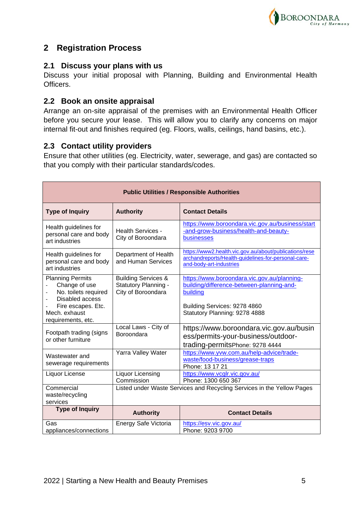

# <span id="page-4-0"></span>**2 Registration Process**

# <span id="page-4-1"></span>**2.1 Discuss your plans with us**

Discuss your initial proposal with Planning, Building and Environmental Health Officers.

# <span id="page-4-2"></span>**2.2 Book an onsite appraisal**

Arrange an on-site appraisal of the premises with an Environmental Health Officer before you secure your lease. This will allow you to clarify any concerns on major internal fit-out and finishes required (eg. Floors, walls, ceilings, hand basins, etc.).

# <span id="page-4-3"></span>**2.3 Contact utility providers**

Ensure that other utilities (eg. Electricity, water, sewerage, and gas) are contacted so that you comply with their particular standards/codes.

| <b>Public Utilities / Responsible Authorities</b>                                                                                                |                                                                              |                                                                                                                                                                       |  |  |  |
|--------------------------------------------------------------------------------------------------------------------------------------------------|------------------------------------------------------------------------------|-----------------------------------------------------------------------------------------------------------------------------------------------------------------------|--|--|--|
| <b>Type of Inquiry</b>                                                                                                                           | <b>Authority</b>                                                             | <b>Contact Details</b>                                                                                                                                                |  |  |  |
| Health guidelines for<br>personal care and body<br>art industries                                                                                | <b>Health Services -</b><br>City of Boroondara                               | https://www.boroondara.vic.gov.au/business/start<br>-and-grow-business/health-and-beauty-<br>businesses                                                               |  |  |  |
| Health guidelines for<br>personal care and body<br>art industries                                                                                | Department of Health<br>and Human Services                                   | https://www2.health.vic.gov.au/about/publications/rese<br>archandreports/Health-guidelines-for-personal-care-<br>and-body-art-industries                              |  |  |  |
| <b>Planning Permits</b><br>Change of use<br>No. toilets required<br>Disabled access<br>Fire escapes. Etc.<br>Mech. exhaust<br>requirements, etc. | <b>Building Services &amp;</b><br>Statutory Planning -<br>City of Boroondara | https://www.boroondara.vic.gov.au/planning-<br>building/difference-between-planning-and-<br>building<br>Building Services: 9278 4860<br>Statutory Planning: 9278 4888 |  |  |  |
| Footpath trading (signs<br>or other furniture                                                                                                    | Local Laws - City of<br>Boroondara                                           | https://www.boroondara.vic.gov.au/busin<br>ess/permits-your-business/outdoor-<br>trading-permitsPhone: 9278 4444                                                      |  |  |  |
| Wastewater and<br>sewerage requirements                                                                                                          | Yarra Valley Water                                                           | https://www.yvw.com.au/help-advice/trade-<br>waste/food-business/grease-traps<br>Phone: 13 17 21                                                                      |  |  |  |
| Liquor License                                                                                                                                   | <b>Liquor Licensing</b><br>Commission                                        | https://www.vcglr.vic.gov.au/<br>Phone: 1300 650 367                                                                                                                  |  |  |  |
| Commercial<br>waste/recycling<br>services                                                                                                        | Listed under Waste Services and Recycling Services in the Yellow Pages       |                                                                                                                                                                       |  |  |  |
| <b>Type of Inquiry</b>                                                                                                                           | <b>Authority</b>                                                             | <b>Contact Details</b>                                                                                                                                                |  |  |  |
| Gas<br>appliances/connections                                                                                                                    | Energy Safe Victoria                                                         | https://esv.vic.gov.au/<br>Phone: 9203 9700                                                                                                                           |  |  |  |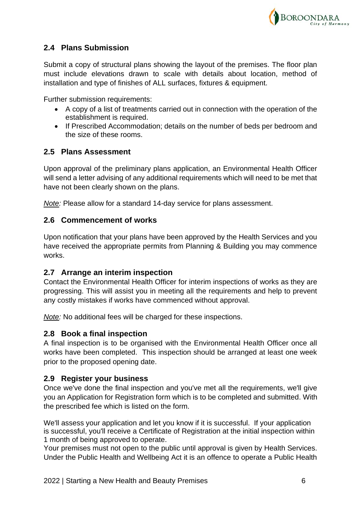

# <span id="page-5-0"></span>**2.4 Plans Submission**

Submit a copy of structural plans showing the layout of the premises. The floor plan must include elevations drawn to scale with details about location, method of installation and type of finishes of ALL surfaces, fixtures & equipment.

Further submission requirements:

- A copy of a list of treatments carried out in connection with the operation of the establishment is required.
- If Prescribed Accommodation; details on the number of beds per bedroom and the size of these rooms.

# <span id="page-5-1"></span>**2.5 Plans Assessment**

Upon approval of the preliminary plans application, an Environmental Health Officer will send a letter advising of any additional requirements which will need to be met that have not been clearly shown on the plans.

*Note:* Please allow for a standard 14-day service for plans assessment.

# <span id="page-5-2"></span>**2.6 Commencement of works**

Upon notification that your plans have been approved by the Health Services and you have received the appropriate permits from Planning & Building you may commence works.

## <span id="page-5-3"></span>**2.7 Arrange an interim inspection**

Contact the Environmental Health Officer for interim inspections of works as they are progressing. This will assist you in meeting all the requirements and help to prevent any costly mistakes if works have commenced without approval.

*Note:* No additional fees will be charged for these inspections.

# <span id="page-5-4"></span>**2.8 Book a final inspection**

A final inspection is to be organised with the Environmental Health Officer once all works have been completed. This inspection should be arranged at least one week prior to the proposed opening date.

# <span id="page-5-5"></span>**2.9 Register your business**

Once we've done the final inspection and you've met all the requirements, we'll give you an Application for Registration form which is to be completed and submitted. With the prescribed fee which is listed on the form.

We'll assess your application and let you know if it is successful. If your application is successful, you'll receive a Certificate of Registration at the initial inspection within 1 month of being approved to operate.

Your premises must not open to the public until approval is given by Health Services. Under the Public Health and Wellbeing Act it is an offence to operate a Public Health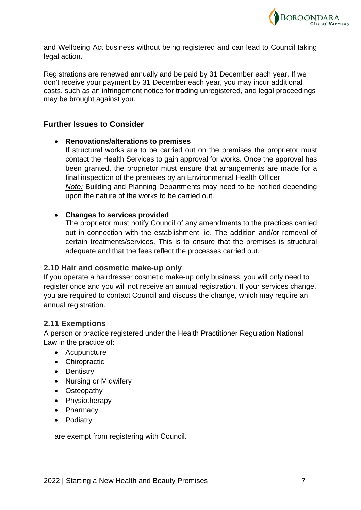

and Wellbeing Act business without being registered and can lead to Council taking legal action.

Registrations are renewed annually and be paid by 31 December each year. If we don't receive your payment by 31 December each year, you may incur additional costs, such as an infringement notice for trading unregistered, and legal proceedings may be brought against you.

# **Further Issues to Consider**

#### • **Renovations/alterations to premises**

If structural works are to be carried out on the premises the proprietor must contact the Health Services to gain approval for works. Once the approval has been granted, the proprietor must ensure that arrangements are made for a final inspection of the premises by an Environmental Health Officer.

*Note:* Building and Planning Departments may need to be notified depending upon the nature of the works to be carried out.

#### • **Changes to services provided**

The proprietor must notify Council of any amendments to the practices carried out in connection with the establishment, ie. The addition and/or removal of certain treatments/services. This is to ensure that the premises is structural adequate and that the fees reflect the processes carried out.

#### <span id="page-6-0"></span>**2.10 Hair and cosmetic make-up only**

If you operate a hairdresser cosmetic make-up only business, you will only need to register once and you will not receive an annual registration. If your services change, you are required to contact Council and discuss the change, which may require an annual registration.

## <span id="page-6-1"></span>**2.11 Exemptions**

A person or practice registered under the Health Practitioner Regulation National Law in the practice of:

- Acupuncture
- Chiropractic
- Dentistry
- Nursing or Midwifery
- Osteopathy
- Physiotherapy
- Pharmacy
- Podiatry

are exempt from registering with Council.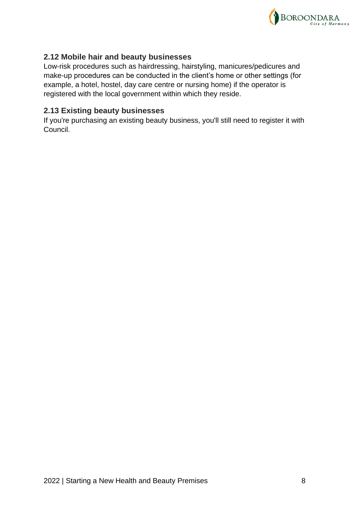

# <span id="page-7-0"></span>**2.12 Mobile hair and beauty businesses**

Low-risk procedures such as hairdressing, hairstyling, manicures/pedicures and make-up procedures can be conducted in the client's home or other settings (for example, a hotel, hostel, day care centre or nursing home) if the operator is registered with the local government within which they reside.

# <span id="page-7-1"></span>**2.13 Existing beauty businesses**

If you're purchasing an existing beauty business, you'll still need to register it with Council.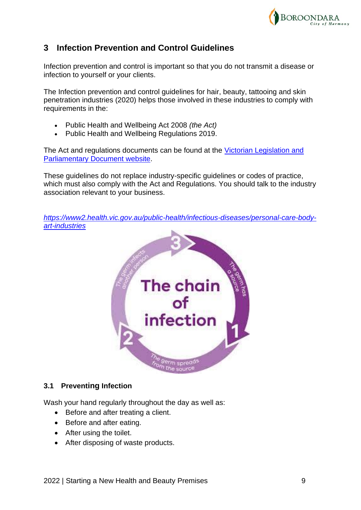

# <span id="page-8-0"></span>**3 Infection Prevention and Control Guidelines**

Infection prevention and control is important so that you do not transmit a disease or infection to yourself or your clients.

The Infection prevention and control guidelines for hair, beauty, tattooing and skin penetration industries (2020) helps those involved in these industries to comply with requirements in the:

- Public Health and Wellbeing Act 2008 *(the Act)*
- Public Health and Wellbeing Regulations 2019.

The Act and regulations documents can be found at the [Victorian Legislation and](http://www.legislation.vic.gov.au/)  [Parliamentary Document website.](http://www.legislation.vic.gov.au/)

These guidelines do not replace industry-specific guidelines or codes of practice, which must also comply with the Act and Regulations. You should talk to the industry association relevant to your business.

*[https://www2.health.vic.gov.au/public-health/infectious-diseases/personal-care-body](https://www2.health.vic.gov.au/public-health/infectious-diseases/personal-care-body-art-industries)[art-industries](https://www2.health.vic.gov.au/public-health/infectious-diseases/personal-care-body-art-industries)*



#### <span id="page-8-1"></span>**3.1 Preventing Infection**

Wash your hand regularly throughout the day as well as:

- Before and after treating a client.
- Before and after eating.
- After using the toilet.
- After disposing of waste products.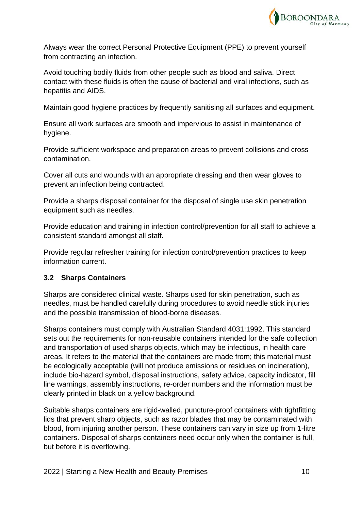

Always wear the correct Personal Protective Equipment (PPE) to prevent yourself from contracting an infection.

Avoid touching bodily fluids from other people such as blood and saliva. Direct contact with these fluids is often the cause of bacterial and viral infections, such as hepatitis and AIDS.

Maintain good hygiene practices by frequently sanitising all surfaces and equipment.

Ensure all work surfaces are smooth and impervious to assist in maintenance of hygiene.

Provide sufficient workspace and preparation areas to prevent collisions and cross contamination.

Cover all cuts and wounds with an appropriate dressing and then wear gloves to prevent an infection being contracted.

Provide a sharps disposal container for the disposal of single use skin penetration equipment such as needles.

Provide education and training in infection control/prevention for all staff to achieve a consistent standard amongst all staff.

Provide regular refresher training for infection control/prevention practices to keep information current.

# <span id="page-9-0"></span>**3.2 Sharps Containers**

Sharps are considered clinical waste. Sharps used for skin penetration, such as needles, must be handled carefully during procedures to avoid needle stick injuries and the possible transmission of blood-borne diseases.

Sharps containers must comply with Australian Standard 4031:1992. This standard sets out the requirements for non-reusable containers intended for the safe collection and transportation of used sharps objects, which may be infectious, in health care areas. It refers to the material that the containers are made from; this material must be ecologically acceptable (will not produce emissions or residues on incineration), include bio-hazard symbol, disposal instructions, safety advice, capacity indicator, fill line warnings, assembly instructions, re-order numbers and the information must be clearly printed in black on a yellow background.

Suitable sharps containers are rigid-walled, puncture-proof containers with tightfitting lids that prevent sharp objects, such as razor blades that may be contaminated with blood, from injuring another person. These containers can vary in size up from 1-litre containers. Disposal of sharps containers need occur only when the container is full, but before it is overflowing.